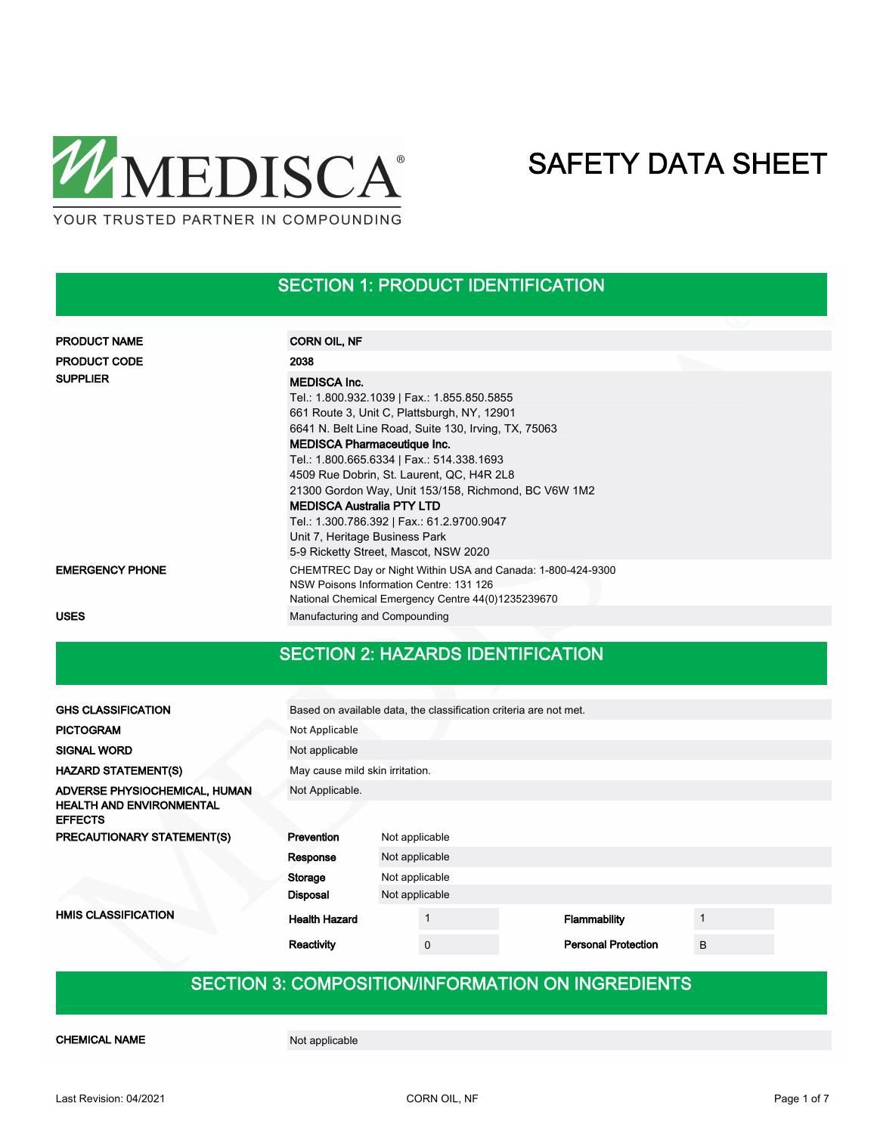

## SECTION 1: PRODUCT IDENTIFICATION

| <b>PRODUCT NAME</b>    | <b>CORN OIL, NF</b>                                                                                                                                                                                                                                                                                                                                                                                                                                 |
|------------------------|-----------------------------------------------------------------------------------------------------------------------------------------------------------------------------------------------------------------------------------------------------------------------------------------------------------------------------------------------------------------------------------------------------------------------------------------------------|
| <b>PRODUCT CODE</b>    | 2038                                                                                                                                                                                                                                                                                                                                                                                                                                                |
| <b>SUPPLIER</b>        | <b>MEDISCA Inc.</b><br>Tel.: 1.800.932.1039   Fax.: 1.855.850.5855<br>661 Route 3, Unit C, Plattsburgh, NY, 12901<br>6641 N. Belt Line Road, Suite 130, Irving, TX, 75063<br><b>MEDISCA Pharmaceutique Inc.</b><br>Tel.: 1.800.665.6334   Fax.: 514.338.1693<br>4509 Rue Dobrin, St. Laurent, QC, H4R 2L8<br>21300 Gordon Way, Unit 153/158, Richmond, BC V6W 1M2<br><b>MEDISCA Australia PTY LTD</b><br>Tel.: 1.300.786.392   Fax.: 61.2.9700.9047 |
|                        | Unit 7, Heritage Business Park<br>5-9 Ricketty Street, Mascot, NSW 2020                                                                                                                                                                                                                                                                                                                                                                             |
| <b>EMERGENCY PHONE</b> | CHEMTREC Day or Night Within USA and Canada: 1-800-424-9300<br>NSW Poisons Information Centre: 131 126<br>National Chemical Emergency Centre 44(0)1235239670                                                                                                                                                                                                                                                                                        |
| <b>USES</b>            | Manufacturing and Compounding                                                                                                                                                                                                                                                                                                                                                                                                                       |

## SECTION 2: HAZARDS IDENTIFICATION

| <b>GHS CLASSIFICATION</b>                                                          | Based on available data, the classification criteria are not met. |                                 |                            |   |  |  |  |
|------------------------------------------------------------------------------------|-------------------------------------------------------------------|---------------------------------|----------------------------|---|--|--|--|
| <b>PICTOGRAM</b>                                                                   | Not Applicable                                                    |                                 |                            |   |  |  |  |
| <b>SIGNAL WORD</b>                                                                 | Not applicable                                                    |                                 |                            |   |  |  |  |
| <b>HAZARD STATEMENT(S)</b>                                                         |                                                                   | May cause mild skin irritation. |                            |   |  |  |  |
| ADVERSE PHYSIOCHEMICAL, HUMAN<br><b>HEALTH AND ENVIRONMENTAL</b><br><b>EFFECTS</b> | Not Applicable.                                                   |                                 |                            |   |  |  |  |
| PRECAUTIONARY STATEMENT(S)                                                         | Prevention                                                        | Not applicable                  |                            |   |  |  |  |
|                                                                                    | Response                                                          | Not applicable                  |                            |   |  |  |  |
|                                                                                    | Storage                                                           | Not applicable                  |                            |   |  |  |  |
|                                                                                    | <b>Disposal</b>                                                   | Not applicable                  |                            |   |  |  |  |
| <b>HMIS CLASSIFICATION</b>                                                         | <b>Health Hazard</b>                                              |                                 | Flammability               |   |  |  |  |
|                                                                                    | Reactivity                                                        | $\mathbf 0$                     | <b>Personal Protection</b> | B |  |  |  |

## SECTION 3: COMPOSITION/INFORMATION ON INGREDIENTS

CHEMICAL NAME Not applicable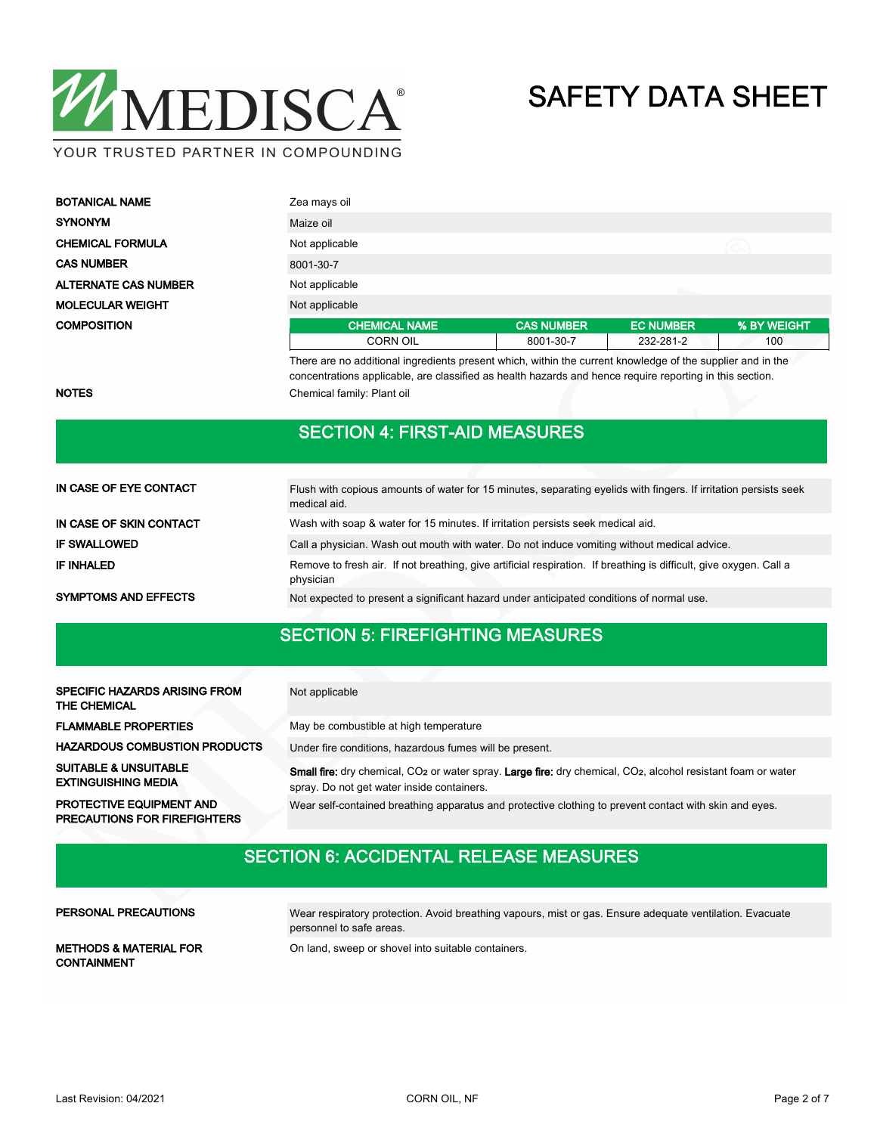

| <b>BOTANICAL NAME</b>       | Zea mays oil         |                   |                  |             |  |  |
|-----------------------------|----------------------|-------------------|------------------|-------------|--|--|
| <b>SYNONYM</b>              | Maize oil            |                   |                  |             |  |  |
| <b>CHEMICAL FORMULA</b>     | Not applicable       |                   |                  |             |  |  |
| <b>CAS NUMBER</b>           | 8001-30-7            |                   |                  |             |  |  |
| <b>ALTERNATE CAS NUMBER</b> | Not applicable       |                   |                  |             |  |  |
| <b>MOLECULAR WEIGHT</b>     | Not applicable       |                   |                  |             |  |  |
| <b>COMPOSITION</b>          | <b>CHEMICAL NAME</b> | <b>CAS NUMBER</b> | <b>EC NUMBER</b> | % BY WEIGHT |  |  |
|                             | <b>CORN OIL</b>      | 8001-30-7         | 232-281-2        | 100         |  |  |

There are no additional ingredients present which, within the current knowledge of the supplier and in the concentrations applicable, are classified as health hazards and hence require reporting in this section. NOTES Chemical family: Plant oil

## SECTION 4: FIRST-AID MEASURES

| IN CASE OF EYE CONTACT      | Flush with copious amounts of water for 15 minutes, separating eyelids with fingers. If irritation persists seek<br>medical aid. |
|-----------------------------|----------------------------------------------------------------------------------------------------------------------------------|
| IN CASE OF SKIN CONTACT     | Wash with soap & water for 15 minutes. If irritation persists seek medical aid.                                                  |
| <b>IF SWALLOWED</b>         | Call a physician. Wash out mouth with water. Do not induce vomiting without medical advice.                                      |
| <b>IF INHALED</b>           | Remove to fresh air. If not breathing, give artificial respiration. If breathing is difficult, give oxygen. Call a<br>physician  |
| <b>SYMPTOMS AND EFFECTS</b> | Not expected to present a significant hazard under anticipated conditions of normal use.                                         |

## SECTION 5: FIREFIGHTING MEASURES

| SPECIFIC HAZARDS ARISING FROM<br>THE CHEMICAL                          | Not applicable                                                                                                                                                                                    |
|------------------------------------------------------------------------|---------------------------------------------------------------------------------------------------------------------------------------------------------------------------------------------------|
| <b>FLAMMABLE PROPERTIES</b>                                            | May be combustible at high temperature                                                                                                                                                            |
| <b>HAZARDOUS COMBUSTION PRODUCTS</b>                                   | Under fire conditions, hazardous fumes will be present.                                                                                                                                           |
| <b>SUITABLE &amp; UNSUITABLE</b><br><b>EXTINGUISHING MEDIA</b>         | <b>Small fire:</b> dry chemical, CO <sub>2</sub> or water spray. <b>Large fire:</b> dry chemical, CO <sub>2</sub> , alcohol resistant foam or water<br>spray. Do not get water inside containers. |
| <b>PROTECTIVE EQUIPMENT AND</b><br><b>PRECAUTIONS FOR FIREFIGHTERS</b> | Wear self-contained breathing apparatus and protective clothing to prevent contact with skin and eyes.                                                                                            |

## SECTION 6: ACCIDENTAL RELEASE MEASURES

#### PERSONAL PRECAUTIONS

Wear respiratory protection. Avoid breathing vapours, mist or gas. Ensure adequate ventilation. Evacuate personnel to safe areas.

CONTAINMENT

METHODS & MATERIAL FOR On land, sweep or shovel into suitable containers.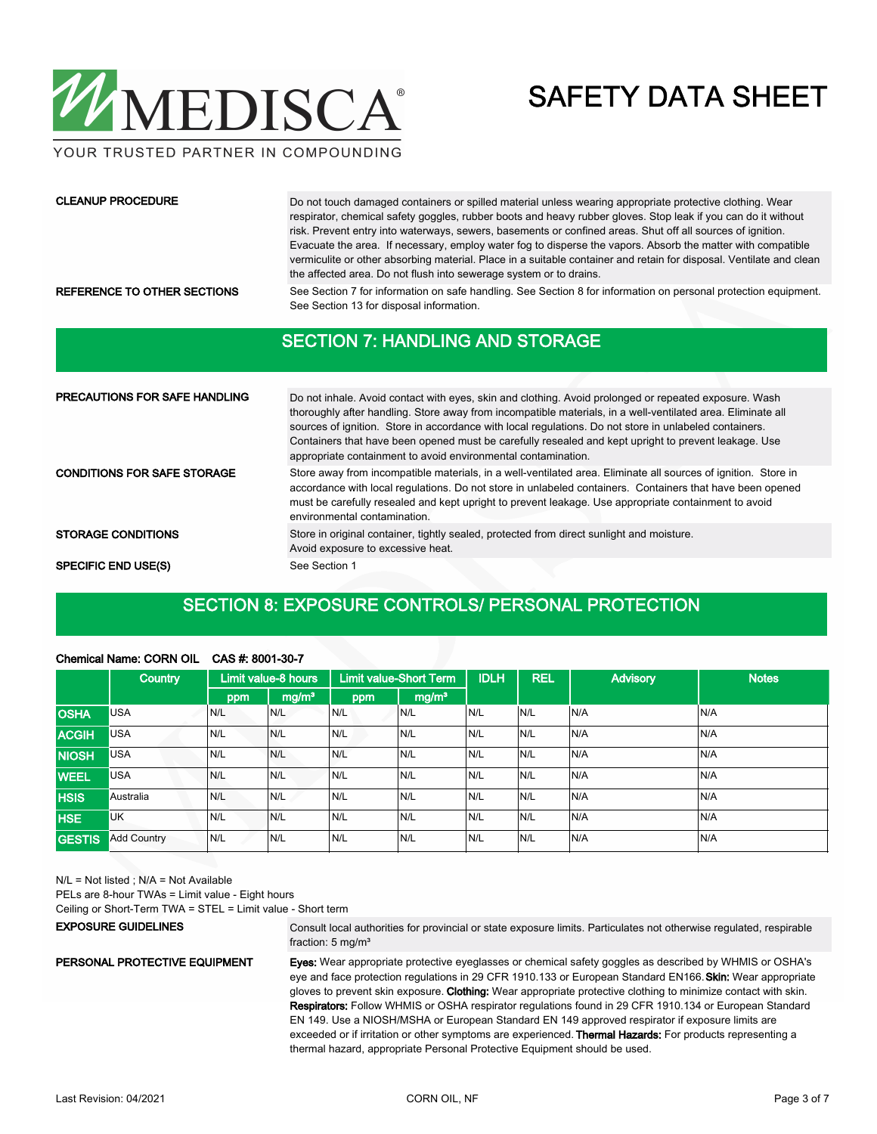

YOUR TRUSTED PARTNER IN COMPOUNDING

#### CLEANUP PROCEDURE

Do not touch damaged containers or spilled material unless wearing appropriate protective clothing. Wear respirator, chemical safety goggles, rubber boots and heavy rubber gloves. Stop leak if you can do it without risk. Prevent entry into waterways, sewers, basements or confined areas. Shut off all sources of ignition. Evacuate the area. If necessary, employ water fog to disperse the vapors. Absorb the matter with compatible vermiculite or other absorbing material. Place in a suitable container and retain for disposal. Ventilate and clean the affected area. Do not flush into sewerage system or to drains.

REFERENCE TO OTHER SECTIONS See Section 7 for information on safe handling. See Section 8 for information on personal protection equipment. See Section 13 for disposal information.

### SECTION 7: HANDLING AND STORAGE

| <b>PRECAUTIONS FOR SAFE HANDLING</b> | Do not inhale. Avoid contact with eyes, skin and clothing. Avoid prolonged or repeated exposure. Wash<br>thoroughly after handling. Store away from incompatible materials, in a well-ventilated area. Eliminate all<br>sources of ignition. Store in accordance with local regulations. Do not store in unlabeled containers.<br>Containers that have been opened must be carefully resealed and kept upright to prevent leakage. Use<br>appropriate containment to avoid environmental contamination. |
|--------------------------------------|---------------------------------------------------------------------------------------------------------------------------------------------------------------------------------------------------------------------------------------------------------------------------------------------------------------------------------------------------------------------------------------------------------------------------------------------------------------------------------------------------------|
| <b>CONDITIONS FOR SAFE STORAGE</b>   | Store away from incompatible materials, in a well-ventilated area. Eliminate all sources of ignition. Store in<br>accordance with local regulations. Do not store in unlabeled containers. Containers that have been opened<br>must be carefully resealed and kept upright to prevent leakage. Use appropriate containment to avoid<br>environmental contamination.                                                                                                                                     |
| <b>STORAGE CONDITIONS</b>            | Store in original container, tightly sealed, protected from direct sunlight and moisture.<br>Avoid exposure to excessive heat.                                                                                                                                                                                                                                                                                                                                                                          |
| <b>SPECIFIC END USE(S)</b>           | See Section 1                                                                                                                                                                                                                                                                                                                                                                                                                                                                                           |

## SECTION 8: EXPOSURE CONTROLS/ PERSONAL PROTECTION

|               | ONGHIQAH RANIG. OOR IN OIL | <u>UNU 17. UUU ITUUTI</u> |                     |     |                               |             |            |                 |              |
|---------------|----------------------------|---------------------------|---------------------|-----|-------------------------------|-------------|------------|-----------------|--------------|
|               | Country                    |                           | Limit value-8 hours |     | <b>Limit value-Short Term</b> | <b>IDLH</b> | <b>REL</b> | <b>Advisory</b> | <b>Notes</b> |
|               |                            | ppm                       | mg/m <sup>3</sup>   | ppm | mg/m <sup>3</sup>             |             |            |                 |              |
| <b>OSHA</b>   | <b>USA</b>                 | IN/L                      | N/L                 | N/L | N/L                           | IN/L        | N/L        | N/A             | N/A          |
| <b>ACGIH</b>  | <b>USA</b>                 | N/L                       | N/L                 | N/L | N/L                           | N/L         | N/L        | N/A             | N/A          |
| <b>NIOSH</b>  | <b>USA</b>                 | N/L                       | N/L                 | N/L | N/L                           | N/L         | N/L        | N/A             | N/A          |
| <b>WEEL</b>   | <b>USA</b>                 | N/L                       | N/L                 | N/L | N/L                           | N/L         | N/L        | N/A             | N/A          |
| <b>HSIS</b>   | Australia                  | N/L                       | N/L                 | N/L | N/L                           | IN/L        | N/L        | N/A             | N/A          |
| <b>HSE</b>    | <b>UK</b>                  | N/L                       | N/L                 | N/L | N/L                           | N/L         | N/L        | N/A             | N/A          |
| <b>GESTIS</b> | <b>Add Country</b>         | N/L                       | N/L                 | N/L | N/L                           | N/L         | N/L        | N/A             | N/A          |
|               |                            |                           |                     |     |                               |             |            |                 |              |

### Chemical Name: CORN OIL CAS #: 8001-30-7

N/L = Not listed ; N/A = Not Available

PELs are 8-hour TWAs = Limit value - Eight hours

Ceiling or Short-Term TWA = STEL = Limit value - Short term

#### EXPOSURE GUIDELINES

Consult local authorities for provincial or state exposure limits. Particulates not otherwise regulated, respirable fraction: 5 mg/m³

### PERSONAL PROTECTIVE EQUIPMENT

Eyes: Wear appropriate protective eyeglasses or chemical safety goggles as described by WHMIS or OSHA's

eye and face protection regulations in 29 CFR 1910.133 or European Standard EN166. Skin: Wear appropriate gloves to prevent skin exposure. Clothing: Wear appropriate protective clothing to minimize contact with skin. Respirators: Follow WHMIS or OSHA respirator regulations found in 29 CFR 1910.134 or European Standard EN 149. Use a NIOSH/MSHA or European Standard EN 149 approved respirator if exposure limits are exceeded or if irritation or other symptoms are experienced. Thermal Hazards: For products representing a thermal hazard, appropriate Personal Protective Equipment should be used.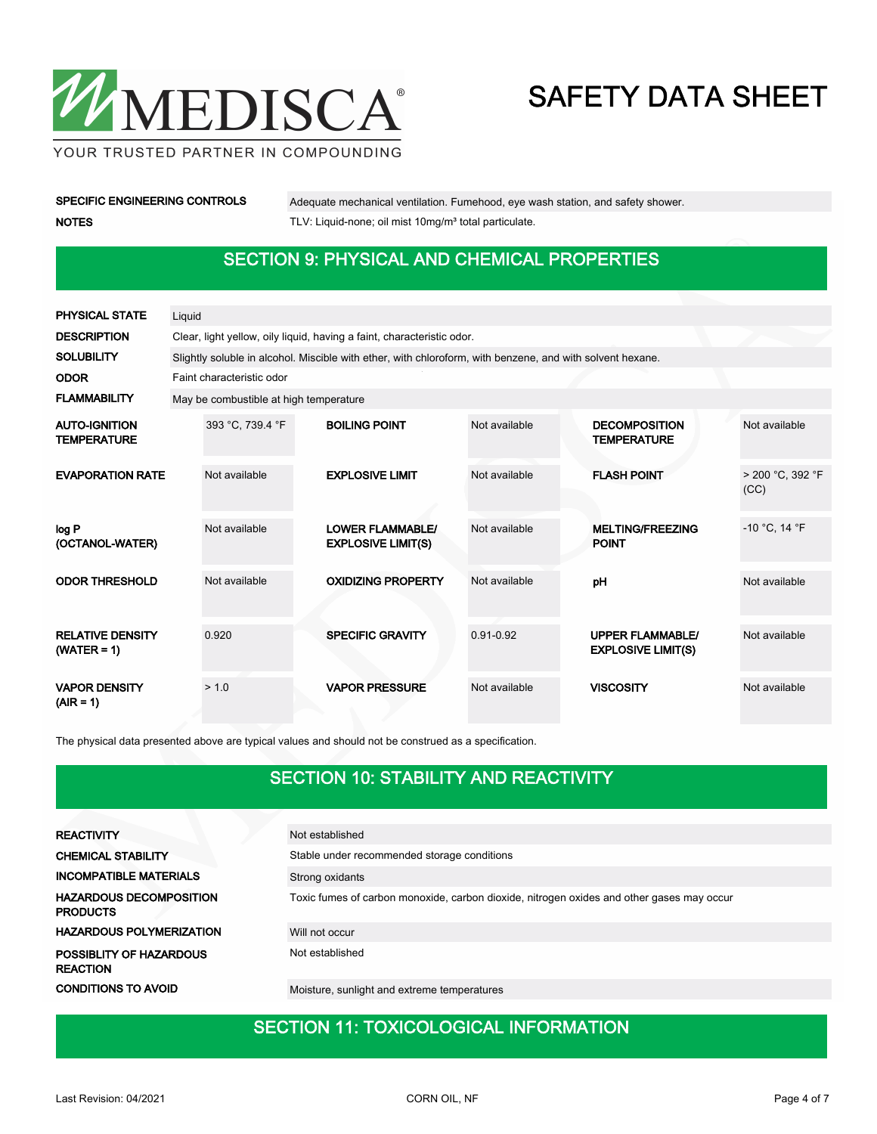

YOUR TRUSTED PARTNER IN COMPOUNDING

| <b>SPECIFIC ENGINEERING CONTROLS</b> |
|--------------------------------------|
| <b>NOTES</b>                         |

Adequate mechanical ventilation. Fumehood, eye wash station, and safety shower. TLV: Liquid-none; oil mist 10mg/m<sup>3</sup> total particulate.

## SECTION 9: PHYSICAL AND CHEMICAL PROPERTIES

| <b>PHYSICAL STATE</b>                      | Liquid |                                                                                                           |  |                                                      |               |  |                                                      |                          |  |
|--------------------------------------------|--------|-----------------------------------------------------------------------------------------------------------|--|------------------------------------------------------|---------------|--|------------------------------------------------------|--------------------------|--|
| <b>DESCRIPTION</b>                         |        | Clear, light yellow, oily liquid, having a faint, characteristic odor.                                    |  |                                                      |               |  |                                                      |                          |  |
| <b>SOLUBILITY</b>                          |        | Slightly soluble in alcohol. Miscible with ether, with chloroform, with benzene, and with solvent hexane. |  |                                                      |               |  |                                                      |                          |  |
| <b>ODOR</b>                                |        | Faint characteristic odor                                                                                 |  |                                                      |               |  |                                                      |                          |  |
| <b>FLAMMABILITY</b>                        |        | May be combustible at high temperature                                                                    |  |                                                      |               |  |                                                      |                          |  |
| <b>AUTO-IGNITION</b><br><b>TEMPERATURE</b> |        | 393 °C, 739.4 °F                                                                                          |  | <b>BOILING POINT</b>                                 | Not available |  | <b>DECOMPOSITION</b><br><b>TEMPERATURE</b>           | Not available            |  |
| <b>EVAPORATION RATE</b>                    |        | Not available                                                                                             |  | <b>EXPLOSIVE LIMIT</b>                               | Not available |  | <b>FLASH POINT</b>                                   | > 200 °C. 392 °F<br>(CC) |  |
| log P<br>(OCTANOL-WATER)                   |        | Not available                                                                                             |  | <b>LOWER FLAMMABLE/</b><br><b>EXPLOSIVE LIMIT(S)</b> | Not available |  | <b>MELTING/FREEZING</b><br><b>POINT</b>              | $-10$ °C, 14 °F          |  |
| <b>ODOR THRESHOLD</b>                      |        | Not available                                                                                             |  | <b>OXIDIZING PROPERTY</b>                            | Not available |  | pH                                                   | Not available            |  |
| <b>RELATIVE DENSITY</b><br>$(WATER = 1)$   |        | 0.920                                                                                                     |  | <b>SPECIFIC GRAVITY</b>                              | $0.91 - 0.92$ |  | <b>UPPER FLAMMABLE/</b><br><b>EXPLOSIVE LIMIT(S)</b> | Not available            |  |
| <b>VAPOR DENSITY</b><br>$(AIR = 1)$        |        | > 1.0                                                                                                     |  | <b>VAPOR PRESSURE</b>                                | Not available |  | <b>VISCOSITY</b>                                     | Not available            |  |

The physical data presented above are typical values and should not be construed as a specification.

## SECTION 10: STABILITY AND REACTIVITY

| <b>REACTIVITY</b>                                 | Not established                                                                           |
|---------------------------------------------------|-------------------------------------------------------------------------------------------|
| <b>CHEMICAL STABILITY</b>                         | Stable under recommended storage conditions                                               |
| <b>INCOMPATIBLE MATERIALS</b>                     | Strong oxidants                                                                           |
| <b>HAZARDOUS DECOMPOSITION</b><br><b>PRODUCTS</b> | Toxic fumes of carbon monoxide, carbon dioxide, nitrogen oxides and other gases may occur |
| <b>HAZARDOUS POLYMERIZATION</b>                   | Will not occur                                                                            |
| POSSIBLITY OF HAZARDOUS<br><b>REACTION</b>        | Not established                                                                           |
| <b>CONDITIONS TO AVOID</b>                        | Moisture, sunlight and extreme temperatures                                               |

## SECTION 11: TOXICOLOGICAL INFORMATION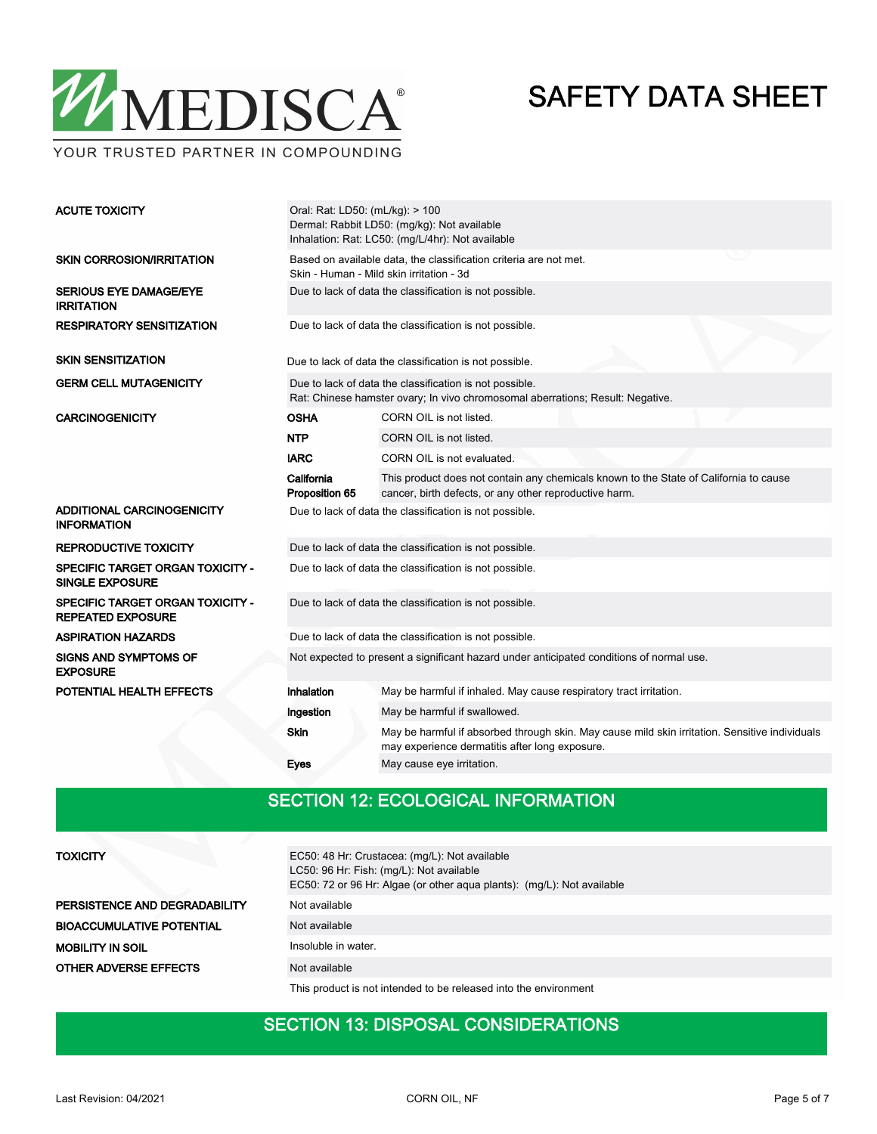

Oral: Rat: LD50: (mL/kg): > 100 Dermal: Rabbit LD50: (mg/kg): Not available Inhalation: Rat: LC50: (mg/L/4hr): Not available ACUTE TOXICITY Based on available data, the classification criteria are not met. Skin - Human - Mild skin irritation - 3d SKIN CORROSION/IRRITATION SERIOUS EYE DAMAGE/EYE Due to lack of data the classification is not possible. IRRITATION RESPIRATORY SENSITIZATION Due to lack of data the classification is not possible. SKIN SENSITIZATION Due to lack of data the classification is not possible. Due to lack of data the classification is not possible. Rat: Chinese hamster ovary; In vivo chromosomal aberrations; Result: Negative. GERM CELL MUTAGENICITY **CARCINOGENICITY CARCINOGENICITY OSHA** CORN OIL is not listed. NTP CORN OIL is not listed. IARC CORN OIL is not evaluated. This product does not contain any chemicals known to the State of California to cause cancer, birth defects, or any other reproductive harm. California Proposition 65 ADDITIONAL CARCINOGENICITY INFORMATION Due to lack of data the classification is not possible. REPRODUCTIVE TOXICITY Due to lack of data the classification is not possible. **SPECIFIC TARGET ORGAN TOXICITY -** Due to lack of data the classification is not possible.

SPECIFIC TARGET ORGAN TOXICITY - Due to lack of data the classification is not possible.

SINGLE EXPOSURE

REPEATED EXPOSURE

| ASPIRATION HAZARDS                              |                                                                                          | Due to lack of data the classification is not possible.                                                                                          |  |  |  |  |
|-------------------------------------------------|------------------------------------------------------------------------------------------|--------------------------------------------------------------------------------------------------------------------------------------------------|--|--|--|--|
| <b>SIGNS AND SYMPTOMS OF</b><br><b>EXPOSURE</b> | Not expected to present a significant hazard under anticipated conditions of normal use. |                                                                                                                                                  |  |  |  |  |
| POTENTIAL HEALTH EFFECTS                        | Inhalation                                                                               | May be harmful if inhaled. May cause respiratory tract irritation.                                                                               |  |  |  |  |
|                                                 | Ingestion                                                                                | May be harmful if swallowed.                                                                                                                     |  |  |  |  |
|                                                 | <b>Skin</b>                                                                              | May be harmful if absorbed through skin. May cause mild skin irritation. Sensitive individuals<br>may experience dermatitis after long exposure. |  |  |  |  |
|                                                 | <b>Eves</b>                                                                              | May cause eye irritation.                                                                                                                        |  |  |  |  |

## SECTION 12: ECOLOGICAL INFORMATION

| <b>TOXICITY</b>                  | EC50: 48 Hr: Crustacea: (mg/L): Not available<br>LC50: 96 Hr: Fish: (mg/L): Not available<br>EC50: 72 or 96 Hr: Algae (or other aqua plants): (mg/L): Not available |
|----------------------------------|---------------------------------------------------------------------------------------------------------------------------------------------------------------------|
| PERSISTENCE AND DEGRADABILITY    | Not available                                                                                                                                                       |
| <b>BIOACCUMULATIVE POTENTIAL</b> | Not available                                                                                                                                                       |
| <b>MOBILITY IN SOIL</b>          | Insoluble in water.                                                                                                                                                 |
| <b>OTHER ADVERSE EFFECTS</b>     | Not available                                                                                                                                                       |

This product is not intended to be released into the environment

### SECTION 13: DISPOSAL CONSIDERATIONS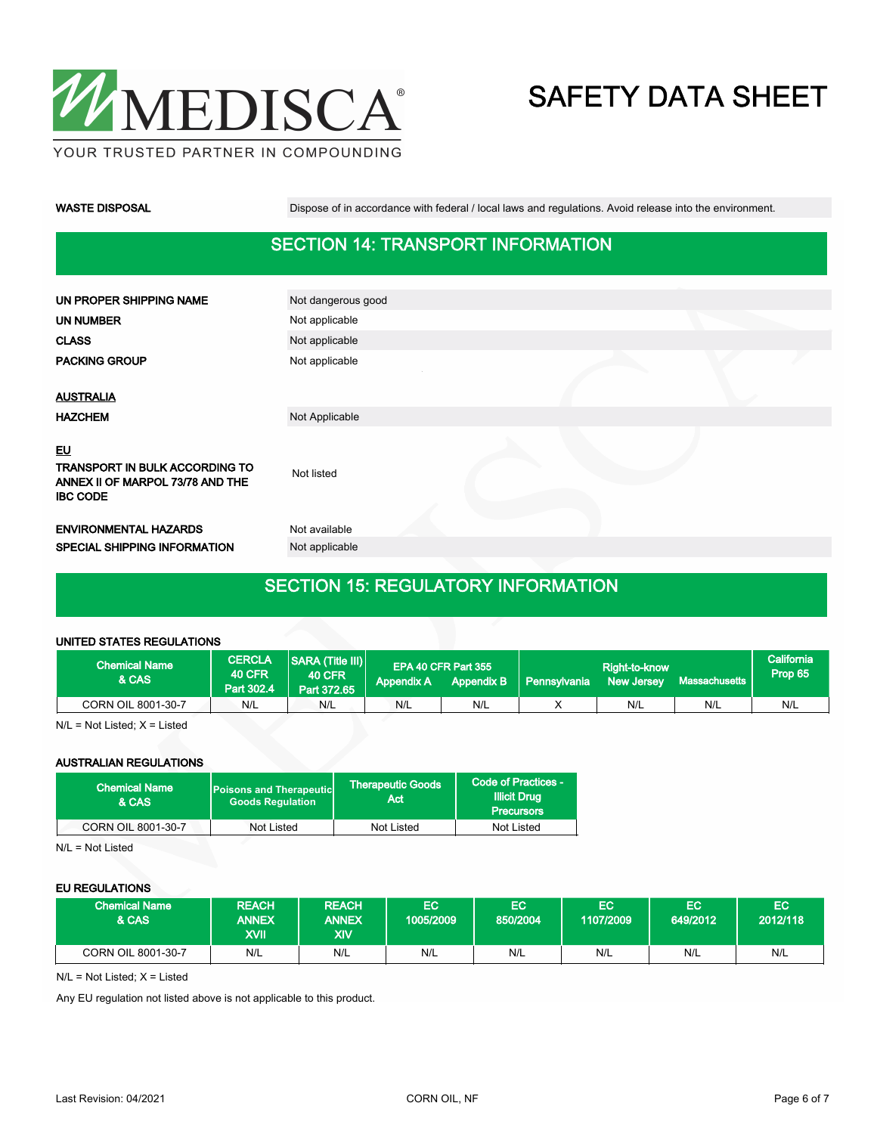

WASTE DISPOSAL **Dispose of in accordance with federal / local laws and regulations**. Avoid release into the environment.

### SECTION 14: TRANSPORT INFORMATION

| UN PROPER SHIPPING NAME                                                                     | Not dangerous good |  |  |
|---------------------------------------------------------------------------------------------|--------------------|--|--|
| <b>UN NUMBER</b>                                                                            | Not applicable     |  |  |
| <b>CLASS</b>                                                                                | Not applicable     |  |  |
| <b>PACKING GROUP</b>                                                                        | Not applicable     |  |  |
|                                                                                             |                    |  |  |
| <b>AUSTRALIA</b>                                                                            |                    |  |  |
| <b>HAZCHEM</b>                                                                              | Not Applicable     |  |  |
| EU<br>TRANSPORT IN BULK ACCORDING TO<br>ANNEX II OF MARPOL 73/78 AND THE<br><b>IBC CODE</b> | Not listed         |  |  |
| <b>ENVIRONMENTAL HAZARDS</b>                                                                | Not available      |  |  |
| SPECIAL SHIPPING INFORMATION                                                                | Not applicable     |  |  |
|                                                                                             |                    |  |  |

## SECTION 15: REGULATORY INFORMATION

#### UNITED STATES REGULATIONS

| <b>Chemical Name</b><br><b>&amp; CAS</b> | <b>CERCLA</b><br><b>40 CFR</b><br>Part 302.4 | $ SARA$ (Title III)<br><b>40 CFR</b><br>Part 372.65 | <b>Appendix A</b> | EPA 40 CFR Part 355<br><b>Appendix B</b> | Pennsylvania | Right-to-know<br><b>New Jersey</b> | <b>Massachusetts</b> | California<br>Prop 65 |
|------------------------------------------|----------------------------------------------|-----------------------------------------------------|-------------------|------------------------------------------|--------------|------------------------------------|----------------------|-----------------------|
| CORN OIL 8001-30-7                       | N/L                                          | N/L                                                 | N/L               | N/L                                      |              | N/L                                | N/L                  | N/L                   |

N/L = Not Listed; X = Listed

### AUSTRALIAN REGULATIONS

| <b>Chemical Name</b><br>& CAS | <b>Poisons and Therapeutic</b><br><b>Goods Requlation</b> | <b>Therapeutic Goods</b><br>Act | Code of Practices -<br><b>Illicit Drug</b><br><b>Precursors</b> |  |
|-------------------------------|-----------------------------------------------------------|---------------------------------|-----------------------------------------------------------------|--|
| CORN OIL 8001-30-7            | Not Listed                                                | Not Listed                      | Not Listed                                                      |  |

N/L = Not Listed

#### EU REGULATIONS

| <b>Chemical Name</b><br>& CAS | <b>REACH</b><br><b>ANNEX</b><br>XVII | <b>REACH</b><br><b>ANNEX</b><br>XIV | ЕC<br>1005/2009 | EC.<br>850/2004 | EC<br>1107/2009 | EC<br>649/2012 | EC<br>2012/118 |
|-------------------------------|--------------------------------------|-------------------------------------|-----------------|-----------------|-----------------|----------------|----------------|
| CORN OIL 8001-30-7            | N/L                                  | N/L                                 | N/L             | N/L             | N/L             | N/L            | N/L            |

N/L = Not Listed; X = Listed

Any EU regulation not listed above is not applicable to this product.